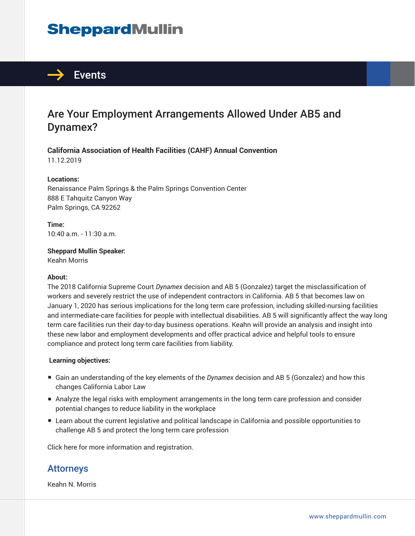# **SheppardMullin**



## Are Your Employment Arrangements Allowed Under AB5 and Dynamex?

**California Association of Health Facilities (CAHF) Annual Convention** 11.12.2019

#### **Locations:**

Renaissance Palm Springs & the Palm Springs Convention Center 888 E Tahquitz Canyon Way Palm Springs, CA 92262

**Time:** 10:40 a.m. - 11:30 a.m.

**Sheppard Mullin Speaker:** Keahn Morris

#### **About:**

The 2018 California Supreme Court *Dynamex* decision and AB 5 (Gonzalez) target the misclassification of workers and severely restrict the use of independent contractors in California. AB 5 that becomes law on January 1, 2020 has serious implications for the long term care profession, including skilled-nursing facilities and intermediate-care facilities for people with intellectual disabilities. AB 5 will significantly affect the way long term care facilities run their day-to-day business operations. Keahn will provide an analysis and insight into these new labor and employment developments and offer practical advice and helpful tools to ensure compliance and protect long term care facilities from liability.

#### **Learning objectives:**

- Gain an understanding of the key elements of the *Dynamex* decision and AB 5 (Gonzalez) and how this changes California Labor Law
- Analyze the legal risks with employment arrangements in the long term care profession and consider potential changes to reduce liability in the workplace
- Learn about the current legislative and political landscape in California and possible opportunities to challenge AB 5 and protect the long term care profession

Click here for more information and registration.

### Attorneys

Keahn N. Morris